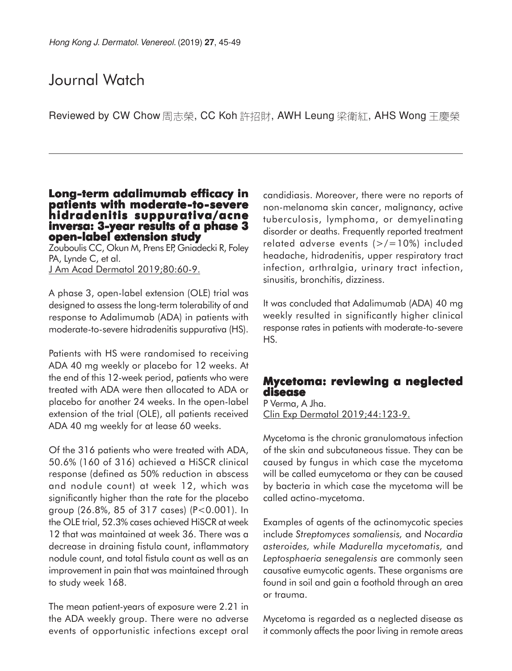# Journal Watch

Reviewed by CW Chow 周志榮, CC Koh 許招財, AWH Leung 梁衛紅, AHS Wong 王慶榮

#### **Long-term adalimumab efficacy in patients with moderate-to-severe hidradenitis suppurativa/acne inversa: 3-year results of a phase 3 open-label extension study**

Zouboulis CC, Okun M, Prens EP, Gniadecki R, Foley PA, Lynde C, et al. J Am Acad Dermatol 2019;80:60-9.

A phase 3, open-label extension (OLE) trial was designed to assess the long-term tolerability of and response to Adalimumab (ADA) in patients with moderate-to-severe hidradenitis suppurativa (HS).

Patients with HS were randomised to receiving ADA 40 mg weekly or placebo for 12 weeks. At the end of this 12-week period, patients who were treated with ADA were then allocated to ADA or placebo for another 24 weeks. In the open-label extension of the trial (OLE), all patients received ADA 40 mg weekly for at lease 60 weeks.

Of the 316 patients who were treated with ADA, 50.6% (160 of 316) achieved a HiSCR clinical response (defined as 50% reduction in abscess and nodule count) at week 12, which was significantly higher than the rate for the placebo group (26.8%, 85 of 317 cases) (P<0.001). In the OLE trial, 52.3% cases achieved HiSCR at week 12 that was maintained at week 36. There was a decrease in draining fistula count, inflammatory nodule count, and total fistula count as well as an improvement in pain that was maintained through to study week 168.

The mean patient-years of exposure were 2.21 in the ADA weekly group. There were no adverse events of opportunistic infections except oral candidiasis. Moreover, there were no reports of non-melanoma skin cancer, malignancy, active tuberculosis, lymphoma, or demyelinating disorder or deaths. Frequently reported treatment related adverse events  $(>/ $=10\%)$  included$ headache, hidradenitis, upper respiratory tract infection, arthralgia, urinary tract infection, sinusitis, bronchitis, dizziness.

It was concluded that Adalimumab (ADA) 40 mg weekly resulted in significantly higher clinical response rates in patients with moderate-to-severe HS.

### **Mycetoma: reviewing a neglected disease**

P Verma, A Jha. Clin Exp Dermatol 2019;44:123-9.

Mycetoma is the chronic granulomatous infection of the skin and subcutaneous tissue. They can be caused by fungus in which case the mycetoma will be called eumycetoma or they can be caused by bacteria in which case the mycetoma will be called actino-mycetoma.

Examples of agents of the actinomycotic species include *Streptomyces somaliensis,* and *Nocardia asteroides, while Madurella mycetomatis,* and *Leptosphaeria senegalensis* are commonly seen causative eumycotic agents. These organisms are found in soil and gain a foothold through an area or trauma.

Mycetoma is regarded as a neglected disease as it commonly affects the poor living in remote areas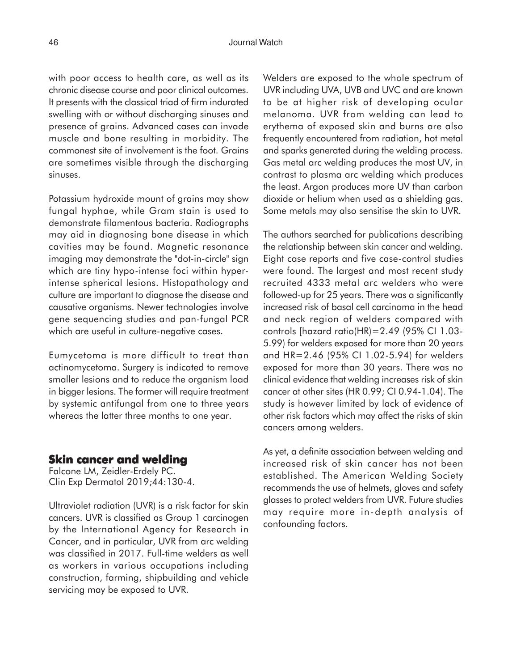with poor access to health care, as well as its chronic disease course and poor clinical outcomes. It presents with the classical triad of firm indurated swelling with or without discharging sinuses and presence of grains. Advanced cases can invade muscle and bone resulting in morbidity. The commonest site of involvement is the foot. Grains are sometimes visible through the discharging sinuses.

Potassium hydroxide mount of grains may show fungal hyphae, while Gram stain is used to demonstrate filamentous bacteria. Radiographs may aid in diagnosing bone disease in which cavities may be found. Magnetic resonance imaging may demonstrate the "dot-in-circle" sign which are tiny hypo-intense foci within hyperintense spherical lesions. Histopathology and culture are important to diagnose the disease and causative organisms. Newer technologies involve gene sequencing studies and pan-fungal PCR which are useful in culture-negative cases.

Eumycetoma is more difficult to treat than actinomycetoma. Surgery is indicated to remove smaller lesions and to reduce the organism load in bigger lesions. The former will require treatment by systemic antifungal from one to three years whereas the latter three months to one year.

#### **Skin cancer and welding**

Falcone LM, Zeidler-Erdely PC. Clin Exp Dermatol 2019;44:130-4.

Ultraviolet radiation (UVR) is a risk factor for skin cancers. UVR is classified as Group 1 carcinogen by the International Agency for Research in Cancer, and in particular, UVR from arc welding was classified in 2017. Full-time welders as well as workers in various occupations including construction, farming, shipbuilding and vehicle servicing may be exposed to UVR.

Welders are exposed to the whole spectrum of UVR including UVA, UVB and UVC and are known to be at higher risk of developing ocular melanoma. UVR from welding can lead to erythema of exposed skin and burns are also frequently encountered from radiation, hot metal and sparks generated during the welding process. Gas metal arc welding produces the most UV, in contrast to plasma arc welding which produces the least. Argon produces more UV than carbon dioxide or helium when used as a shielding gas. Some metals may also sensitise the skin to UVR.

The authors searched for publications describing the relationship between skin cancer and welding. Eight case reports and five case-control studies were found. The largest and most recent study recruited 4333 metal arc welders who were followed-up for 25 years. There was a significantly increased risk of basal cell carcinoma in the head and neck region of welders compared with controls [hazard ratio(HR)=2.49 (95% CI 1.03- 5.99) for welders exposed for more than 20 years and HR=2.46 (95% CI 1.02-5.94) for welders exposed for more than 30 years. There was no clinical evidence that welding increases risk of skin cancer at other sites (HR 0.99; CI 0.94-1.04). The study is however limited by lack of evidence of other risk factors which may affect the risks of skin cancers among welders.

As yet, a definite association between welding and increased risk of skin cancer has not been established. The American Welding Society recommends the use of helmets, gloves and safety glasses to protect welders from UVR. Future studies may require more in-depth analysis of confounding factors.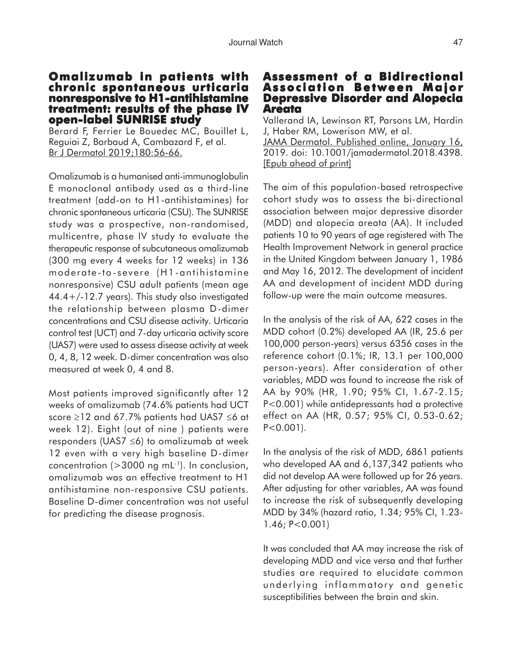#### **Omalizumab in patients with chronic spontaneous urticaria nonresponsive to H1-antihistamine treatment: results of the phase IV open-label SUNRISE study**

Berard F, Ferrier Le Bouedec MC, Bouillet L, Reguiai Z, Barbaud A, Cambazard F, et al. Br J Dermatol 2019;180:56-66.

Omalizumab is a humanised anti-immunoglobulin E monoclonal antibody used as a third-line treatment (add-on to H1-antihistamines) for chronic spontaneous urticaria (CSU). The SUNRISE study was a prospective, non-randomised, multicentre, phase IV study to evaluate the therapeutic response of subcutaneous omalizumab (300 mg every 4 weeks for 12 weeks) in 136 moderate -to- severe (H1-antihistamine nonresponsive) CSU adult patients (mean age 44.4+/-12.7 years). This study also investigated the relationship between plasma D-dimer concentrations and CSU disease activity. Urticaria control test (UCT) and 7-day urticaria activity score (UAS7) were used to assess disease activity at week 0, 4, 8, 12 week. D-dimer concentration was also measured at week 0, 4 and 8.

Most patients improved significantly after 12 weeks of omalizumab (74.6% patients had UCT score ≥12 and 67.7% patients had UAS7 ≤6 at week 12). Eight (out of nine ) patients were responders (UAS7 ≤6) to omalizumab at week 12 even with a very high baseline D-dimer concentration ( $>3000$  ng mL<sup>-1</sup>). In conclusion, omalizumab was an effective treatment to H1 antihistamine non-responsive CSU patients. Baseline D-dimer concentration was not useful for predicting the disease prognosis.

## **Assessment of a Bidirectional Association Between Major Depressive Disorder and Alopecia Areata**

Vallerand IA, Lewinson RT, Parsons LM, Hardin J, Haber RM, Lowerison MW, et al. JAMA Dermatol. Published online, January 16, 2019. doi: 10.1001/jamadermatol.2018.4398. [Epub ahead of print]

The aim of this population-based retrospective cohort study was to assess the bi-directional association between major depressive disorder (MDD) and alopecia areata (AA). It included patients 10 to 90 years of age registered with The Health Improvement Network in general practice in the United Kingdom between January 1, 1986 and May 16, 2012. The development of incident AA and development of incident MDD during follow-up were the main outcome measures.

In the analysis of the risk of AA, 622 cases in the MDD cohort (0.2%) developed AA (IR, 25.6 per 100,000 person-years) versus 6356 cases in the reference cohort (0.1%; IR, 13.1 per 100,000 person-years). After consideration of other variables, MDD was found to increase the risk of AA by 90% (HR, 1.90; 95% CI, 1.67-2.15; P<0.001) while antidepressants had a protective effect on AA (HR, 0.57; 95% CI, 0.53-0.62;  $P < 0.001$ ).

In the analysis of the risk of MDD, 6861 patients who developed AA and 6,137,342 patients who did not develop AA were followed up for 26 years. After adjusting for other variables, AA was found to increase the risk of subsequently developing MDD by 34% (hazard ratio, 1.34; 95% CI, 1.23- 1.46; P<0.001)

It was concluded that AA may increase the risk of developing MDD and vice versa and that further studies are required to elucidate common underlying inflammatory and genetic susceptibilities between the brain and skin.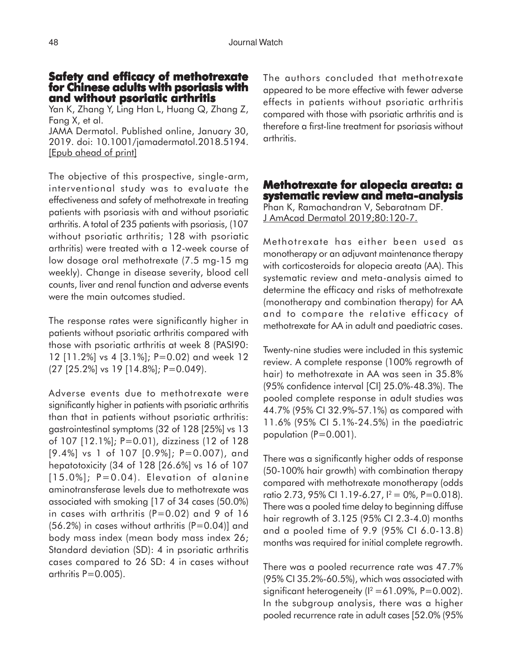### **Safety and efficacy of methotrexate for Chinese adults with psoriasis with and without psoriatic arthritis**

Yan K, Zhang Y, Ling Han L, Huang Q, Zhang Z, Fang X, et al.

JAMA Dermatol. Published online, January 30, 2019. doi: 10.1001/jamadermatol.2018.5194. [Epub ahead of print]

The objective of this prospective, single-arm, interventional study was to evaluate the effectiveness and safety of methotrexate in treating patients with psoriasis with and without psoriatic arthritis. A total of 235 patients with psoriasis, (107 without psoriatic arthritis; 128 with psoriatic arthritis) were treated with a 12-week course of low dosage oral methotrexate (7.5 mg-15 mg weekly). Change in disease severity, blood cell counts, liver and renal function and adverse events were the main outcomes studied.

The response rates were significantly higher in patients without psoriatic arthritis compared with those with psoriatic arthritis at week 8 (PASI90: 12 [11.2%] vs 4 [3.1%]; P=0.02) and week 12 (27 [25.2%] vs 19 [14.8%]; P=0.049).

Adverse events due to methotrexate were significantly higher in patients with psoriatic arthritis than that in patients without psoriatic arthritis: gastrointestinal symptoms (32 of 128 [25%] vs 13 of 107 [12.1%]; P=0.01), dizziness (12 of 128 [9.4%] vs 1 of 107 [0.9%]; P=0.007), and hepatotoxicity (34 of 128 [26.6%] vs 16 of 107  $[15.0\%]$ ; P=0.04). Elevation of alanine aminotransferase levels due to methotrexate was associated with smoking [17 of 34 cases (50.0%) in cases with arthritis  $(P=0.02)$  and 9 of 16  $(56.2%)$  in cases without arthritis  $(P=0.04)$ ] and body mass index (mean body mass index 26; Standard deviation (SD): 4 in psoriatic arthritis cases compared to 26 SD: 4 in cases without arthritis  $P=0.005$ ).

The authors concluded that methotrexate appeared to be more effective with fewer adverse effects in patients without psoriatic arthritis compared with those with psoriatic arthritis and is therefore a first-line treatment for psoriasis without arthritis.

**Methotrexate for alopecia areata: a systematic review and meta-analysis** Phan K, Ramachandran V, Sebaratnam DF. J AmAcad Dermatol 2019;80:120-7.

Methotrexate has either been used as monotherapy or an adjuvant maintenance therapy with corticosteroids for alopecia areata (AA). This systematic review and meta-analysis aimed to determine the efficacy and risks of methotrexate (monotherapy and combination therapy) for AA and to compare the relative efficacy of methotrexate for AA in adult and paediatric cases.

Twenty-nine studies were included in this systemic review. A complete response (100% regrowth of hair) to methotrexate in AA was seen in 35.8% (95% confidence interval [CI] 25.0%-48.3%). The pooled complete response in adult studies was 44.7% (95% CI 32.9%-57.1%) as compared with 11.6% (95% CI 5.1%-24.5%) in the paediatric population (P=0.001).

There was a significantly higher odds of response (50-100% hair growth) with combination therapy compared with methotrexate monotherapy (odds ratio 2.73, 95% CI 1.19-6.27,  $I^2 = 0\%$ , P=0.018). There was a pooled time delay to beginning diffuse hair regrowth of 3.125 (95% CI 2.3-4.0) months and a pooled time of 9.9 (95% CI 6.0-13.8) months was required for initial complete regrowth.

There was a pooled recurrence rate was 47.7% (95% CI 35.2%-60.5%), which was associated with significant heterogeneity ( $I^2$  = 61.09%, P=0.002). In the subgroup analysis, there was a higher pooled recurrence rate in adult cases [52.0% (95%